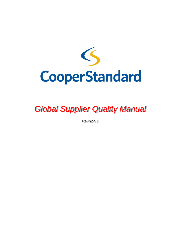

# *Global Supplier Quality Manual*

Revision 8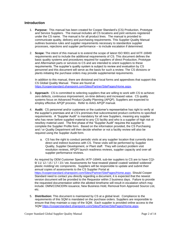## **Introduction**

- 1. **Purpose:** This manual has been created for Cooper Standard's (CS) Production, Prototype and Service Suppliers. The manual includes all CS locations and joint ventures registered under the CS name. The manual is for all product lines. The manual is provided to communicate quality, delivery and purchasing requirements. This Supplier Quality Manual outlines business rules and supplier requirements necessary to standardize supplier processes, rejections and supplier performance – to include escalation if determined.
- 2. **Scope:** The intent of this manual is to extend the scope of latest ISO 9001 and IATF-16949 requirements and to include the additional requirements of CS. This document defines the basic quality systems and procedures required for suppliers of direct Production, Prototype and Aftermarket parts or services to CS and are intended to orient suppliers to these requirements. The supplier's quality system is subject to review and evaluation by CS personnel and this document will serve as the basis for such a review. The CS divisions or plants initiating the purchase orders may provide supplemental requirements.

In addition to this manual, there are divisional and local forms and appendixes that support this CS Global Quality Manual. These are found at [https://cooperstandard.sharepoint.com/Sites/Partner/SitePages/Home.aspx.](https://cooperstandard.sharepoint.com/Sites/Partner/SitePages/Home.aspx)

- 3. **Approach:** CS is committed to selecting suppliers that are willing to work with CS to achieve: zero defects, continuous improvement, on-time delivery and increased value. CS quality systems focus on Advanced Product Quality Planning (APQP). Suppliers are expected to employ effective APQP process. Refer to AIAG APQP manual.
- 4. **Audit:** CS personnel and/or customers or the customer's representative has right to verify at the supplier's premises and at CS's premises that subcontracted product conforms to specified requirements. A "Supplier Audit" is mandatory for all new Suppliers, meaning any supplier who has never before supplied material to any CS facility and who is a supplier of high risk or new/key material used. The first phase of the "Supplier Audit" requires the supplier to complete the Supplier Profile form. Based on the information provided, the CS Purchasing and / or Quality Department will then decide whether or not a facility review will also be required using the Supplier Audit form.
	- a. CS has the right to conduct periodic visits at any supplier location that currently does direct and indirect business with CS. These visits will be performed by Supplier Quality, Supplier Development, or Plant staff. They will conduct problem visit resolution reviews, APQP/ launch readiness reviews, supplier capacity and over-all supplier performance reviews.

As required by OEM Customer Specific IATF-16949, sub-tier suppliers to CS are to have CQI-9/ 11/ 12 / 15 / 17 / 23 / etc Assessments for heat treated/ plated/ coated/ welded/ soldered/ plastic molding/ etc components. Suppliers will be responsible to update and submit their annual copies of assessments to the CS Supplier Portal at [https://cooperstandard.sharepoint.com/Sites/Partner/SitePages/Home.aspx.](https://cooperstandard.sharepoint.com/Sites/Partner/SitePages/Home.aspx) Should Cooper Standard need to contact you directly regarding a document, it is expected that the newest version document will be provided to the Requestor within 2 business days. Failure to provide the requested documentation within the allotted timeframe will result in escalation which may include: DMN/CONCERN issuance, New Business Hold, Removal from Approved Source List, etc.

5. **Distribution:** This document is maintained by CS at a global level. Compliance to the requirements of this SQM is mandated on the purchase orders. Suppliers are responsible to ensure that they maintain a copy of the SQM. Each supplier is provided online access to the SQM [https://cooperstandard.sharepoint.com/Sites/Partner/SitePages/Home.aspx.](https://cooperstandard.sharepoint.com/Sites/Partner/SitePages/Home.aspx)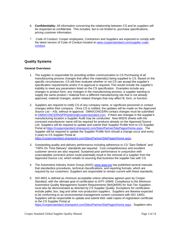- 6. **Confidentiality:** All information concerning the relationship between CS and its suppliers will be respected as confidential. This includes, but is not limited to, purchase specifications, pricing customer information.
- 7. Code of Conduct: Cooper employees, Contractors and Suppliers are expected to comply with the latest version of Code of Conduct located at [www.cooperstandard.com/supplier-code](http://www.cooperstandard.com/supplier-code-conduct)[conduct.](http://www.cooperstandard.com/supplier-code-conduct)

# **Quality Systems**

#### **General Overviews**

- 1. The supplier is responsible for providing written communication to CS Purchasing of all manufacturing process changes that affect the material(s) being supplied to CS. Based on the specific circumstances, CS will then evaluate whether or not CS can accept the supplier's specification requirements and/or if re-approval is required. This would include the supplier's inability to meet any parameters listed on the CS specification. Examples include any changes in product form, any changes in the manufacturing process, a supplier wanting to supply the same product / material from a different manufacturing site that is not already approved, material changes, and/or related changes that may affect fit, form, or function.
- 2. Suppliers are required to notify CS of any company name, or significant personnel or contact changes within their company. Once CS is notified, the updates will be made on the Approved Source List – ASL without re-approval. DMN/CONCERN contact changes must be submitted to [DMN/CONCERNSPRSAdmin@cooperstandard.com.](mailto:DMNSPRSAdmin@cooperstandard.com) If there are changes in the supplier's manufacturing location a Supplier Audit may be conducted. New MSDS sheets with the corrected manufacturer name will be required for products already on the Approved Source List. Suppliers will be required to update and submit their Supplier Profile form to CS Supplier Portal at [https://cooperstandard.sharepoint.com/Sites/Partner/SitePages/Home.aspx.](https://cooperstandard.sharepoint.com/Sites/Partner/SitePages/Home.aspx) The Supplier will be required to update the Supplier Profile form should a change occur and every 3 years to CS Supplier Portal at

[https://cooperstandard.sharepoint.com/Sites/Partner/SitePages/Home.aspx.](https://cooperstandard.sharepoint.com/Sites/Partner/SitePages/Home.aspx)

- 3. Outstanding quality and delivery performance including adherence to CS "Zero Defects" and "100% On Time Delivery" standards are required. Cost competitiveness and excellent customer service are also required. Sustained poor performance in conjunction with unacceptable corrective action could potentially result in the removal of a supplier from the Approved Source List, which entails re-sourcing that business the supplier has with CS.
- 4. The Automotive Industry Action Group (AIAG) [www.aiag.org](http://www.aiag.org/) has published several manuals that standardize procedures, technical classifications, and reporting formats, which are required by our customers. Suppliers are responsible to remain current with these standards.
- 5. ISO-9001 is defined as minimum acceptable unless otherwise agreed upon by Cooper Standard, with the ultimate goal of certification to IATF-16949. Compliance to the Minimum Automotive Quality Management System Requirements (MAQMSR) for Sub-Tier Suppliers must also be demonstrated as directed by CS Supplier Quality. Exceptions for certification include pallet, box, bag and other non-production suppliers. Suppliers are likewise expected to be conforming to an environmental management system consistent with ISO 14001. Suppliers will be responsible to update and submit their valid copies of registration certificate to the CS Supplier Portal at

[https://cooperstandard.sharepoint.com/Sites/Partner/SitePages/Home.aspx.](https://cooperstandard.sharepoint.com/Sites/Partner/SitePages/Home.aspx) Suppliers who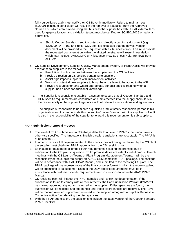fail a surveillance audit must notify their CS Buyer immediately. Failure to maintain your ISO9001 minimum certification will result in the removal of a supplier from the Approved Source List, which entails re-sourcing that business the supplier has with CS. All external labs used for gage calibration and validation testing must be certified to ISO/IEC17025 or national equivalent.

- a. Should Cooper Standard need to contact you directly regarding a document (e.g. ISO9000, IATF-16949, Profile, CQI, etc), it is expected that the newest version document will be provided to the Requestor within 2 business days. Failure to provide the requested documentation within the allotted timeframe will result in escalation which may include: DMN/CONCERN issuance, New Business Hold, Removal from ASL, etc.
- 6. CS Supplier Development, Supplier Quality, Management System, or Plant Quality will provide assistance to suppliers in the following areas:
	- a. Resolution of critical issues between the supplier and the CS facilities
	- b. Provide direction on CS policies pertaining to suppliers
	- c. Assist high impact suppliers with improvement activities
	- d. Work with potential new suppliers to bring them to a level to be added to the ASL
	- e. Provide resources for, and where appropriate, conduct specific training when a supplier has a need for additional knowledge
	- 7. The Supplier is responsible to establish a system to secure that all Cooper Standard and OEM specific requirements are considered and implemented into the supply chain. It is in the responsibility of the supplier to get access to all relevant specifications and agreements.
	- 8. The supplier is responsible to nominate a qualified product safety responsible person in his organization and to communicate this person to Cooper Standard with the supplier profile. It is also in the responsibility of the supplier to forward this requirement to his sub suppliers.

#### **PPAP Submission Approval Process**

- 1. The level of PPAP submission to CS always defaults to a Level-3 PPAP submission, unless otherwise specified. The language is English parallel translations are acceptable. The PPAP is at no cost to CS.
- 2. In order to receive full payment related to the specific product being purchased by the CS plant the supplier must obtain full PPAP approval from the CS receiving plant.
- 3. Each supplier must meet all of the PPAP requirements including the promise date of submission to the CS plant in question. PPAP promise dates are established at product launch meetings with the CS Launch Teams or Plant Program Management Teams. It will be the responsibility of the supplier to supply an AIAG / OEM compliant PPAP package. The package will be in accordance with AIAG PPAP Manual, and submitted to the receiving CS plant. The PPAP package will be representative of the final customer format in which the receiving plant will be submitting to its customer. Each of the OEM specific requirements must be in accordance with customer specific requirements and instructions found in the AIAG PPAP Manual.
- 4. CS receiving plant will inspect the PPAP samples and review the documentation. If the submission is found to comply with all requirements, the Part Submission Warrant (PSW) will be marked approved, signed and returned to the supplier. If discrepancies are found, the submission will be rejected and put on hold until those discrepancies are resolved. The PSW will be marked rejected, signed and returned to the supplier, along with a Supplier Request for Corrective Action form detailing the discrepancies.
- 5. With the PPAP submission, the supplier is to include the latest version of the Cooper Standard PPAP Checklist.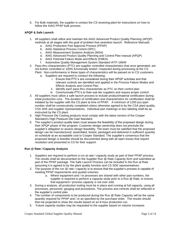6. For Bulk materials, the supplier is contact the CS receiving plant for instructions on how to follow the AIAG PPAP bulk process.

## **APQP & Safe Launch**

- 1. All suppliers shall utilize and maintain the AIAG Advanced Product Quality Planning (APQP) methods at all stages with the goal of problem free seamless launch. Reference Manuals:
	- a. AIAG Production Part Approval Process (PPAP)
	- b. AIAG Statistical Process Control (SPC)
	- c. AIAG Measurement Systems Analysis (MSA)
	- d. AIAG Advanced Product Quality Planning and Control Plan manual (APQP)
	- e. AIAG Potential Failure Mode and Effects (FMEA)
	- f. Automotive Quality Management System Standard IATF-16949
- 2. Pass-thru characteristics (PTC) are supplier controlled characteristics that once generated, are not further controlled or 100% functionally tested / inspected during processing at the CS Plant. Non-conformance in these types of characteristics will be passed on to CS customers.
	- a. Suppliers are required to conduct the following:
		- i. Ensure that PTC's are considered during their APQP activities and that relevant controls are identified and applied in the Process Failure Modes and Effects Analysis and Control Plan
		- ii. Identify each pass-thru characteristic as PTC on their control plan
		- iii. Communicate PTC's to their sub-tier suppliers and require proper control
- 3. All suppliers must utilize a safe launch process to include product/material certification during initial production runs. The duration of certification and characteristics for certification shall be initiated by the supplier with the CS plant at time of PPAP. A minimum of 1200 pcs./part number shall be consecutively completed unless otherwise agreed to by the CSA plant quality, CSA SDE and supplier representatives. Individual part markings or box labeling shall be as instructed by the CS plant.
- 4. High Pressure Die Casting products must comply with the latest version of the Cooper Standard's High Pressure Die Cast Standard.
- 5. The supplier's product quality team must assess the feasibility of the proposed design during their APQP phase of the program. Customer design ownership does not preclude the supplier's obligation to assess design feasibility. The team must be satisfied that the proposed design can be manufactured, assembled, tested, packaged and delivered in sufficient quantity on schedule at an acceptable cost to Cooper Standard. The supplier's consensus that the proposed design is feasible should be documented along with all open issues that require resolution and presented to CS for their support.

#### **Run @ Rate / Capacity Analysis**

- 1. Suppliers are required to perform a run at rate / capacity study as part of their PPAP process. The results shall be documented on the Supplier Run @ Rate Capacity form and submitted as part of the PPAP package. The Safe Launch Process can be included in the Run at Rate assuming it is agreed to by the plant quality function and CS SDE representatives.
- 2. The purpose of the run @ rate / capacity is to ensure that the supplier's process is capable of meeting PPAP requirements and quoted volumes.
	- a. Where equipment and / or processes are shared with other part numbers, the supplier is required to perform a capacity study prior to a Run @ Rate, to ensure that equipment / process capacity is not over sold.
- 3. During a analysis, all production tooling must be in place and running at full capacity, using all processes, personnel, gauging and procedures. The process and controls shall be reflected in the supplier's control plan.
- 4. The number of components to be produced during the Run @ Rate Capacity will be the same quantity required for PPAP and / or as specified by the purchase order. The results should then be projected to show the results based on an 8-hour production run.
- 5. Future capacity studies may be requested to the supplier based on volume increases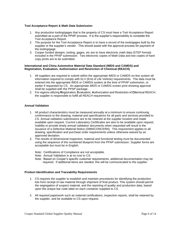#### **Tool Acceptance Report & Math Data Submission**

- 1. Any production tooling/gages that is the property of CS must have a Tool Acceptance Report submitted as a part of the PPAP process. It is the supplier's responsibility to complete the Tool Acceptance Report.
- 2. The purpose for the Tool Acceptance Report is to have a record of the tools/gages built by the supplier or the supplier's vendor. This should assist with the approval process for payment of the tooling/gage.
- 3. Cooper funded designs, tooling, gages, etc are to have electronic math data (STEP format) included in the PPAP submission. Two electronic copies of Math Data and two copies of hard copy prints are to be submitted.

#### **International and China Automotive Material Data Standard (IMDS and CAMDS) and Registration, Evaluation, Authorization and Restriction of Chemical (REACH)**

- 1. All suppliers are required to submit within the appropriate IMDS or CAMDS on-line system all information required to comply with ELV (End of Life Vehicle) requirements. The data must be entered into the appropriate IMDS or CAMDS system at the time of PPAP submission, or earlier if requested by CS. An appropriate IMDS or CAMDS screen print showing approval shall be supplied with the PPAP package.
- 2. For regions utilizing **R**egistration, **E**valuation, **A**uthorization and Restriction of **Ch**emical REACH, the supplier is responsible to fulfill all REACH requirements.

## **Annual Validation**

- 1. All product characteristics must be measured annually at a minimum to ensure continuing conformance to the drawing, material and specifications for all parts and services provided to CS. Annual validation submissions are to be retained at the supplier location and made available upon request. Current Laboratory Certificates are also to be available upon request. Inability to provide timely annual validation documents when requested will result in the issuance of a Defective Material Notice (DMN/CONCERN). This requirement applies to all drawing, specification and purchase order requirements unless otherwise waived by an approved deviation.
- 2. The results of dimensional inspection, material and functional testing must be documented using the sequence of the numbered blueprint from the PPAP submission. Supplier forms are acceptable but must be in English.

Note: Certifications of Compliance are not acceptable.

- Note: Annual Validation is at no cost to CS.
- Note: Based on Cooper's specific customer requirements, additional documentation may be required. If additional items are needed, this will be communicated to the supplier.

#### **Product Identification and Traceability Requirements**

- 1. CS requires the supplier to establish and maintain procedures for identifying the production lots from receipt of raw material through shipment of final product. This system should permit the segregation of suspect material, and the reporting of quality and production data, based upon the unique bar code label on each container supplied to CS.
- 2. All required paperwork such as material certifications, inspection reports, shall be retained by the supplier, and be available to CS upon request.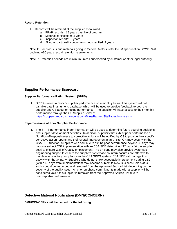#### **Record Retention**

- 1. Records will be retained at the supplier as followed
	- a. PPAP records: 15 years past life of program
	- b. Material certification: 3 years
	- c. Inspection reports: 3 years
	- d. All other part quality documents not specified: 3 years

Note 1: For products and materials going to General Motors, refer to GM specification GMW15920 outlining +50 years record retention requirements.

Note 2: Retention periods are minimum unless superseded by customer or other legal authority.

# **Supplier Performance Scorecard**

## **Supplier Performance Rating System, (SPRS)**

1. SPRS is used to monitor supplier performance on a monthly basis. This system will put variable data in a numeric database, which will be used to provide feedback to both the supplier and CS about on-going performance. The supplier will have access to their monthly performance through the CS Supplier Portal at [https://cooperstandard.sharepoint.com/Sites/Partner/SitePages/Home.aspx.](https://cooperstandard.sharepoint.com/Sites/Partner/SitePages/Home.aspx)

#### **Repercussions of Poor Supplier Performance**

1. The SPRS performance index information will be used to determine future sourcing decisions and supplier development activities. In addition, suppliers that exhibit poor performance or Non/Poor-Responsiveness to corrective actions will be notified by CS to provide their specific corrective action reports and their overall improvement plan. A site IQR may occur with the CSA SDE function. Suppliers who continue to exhibit poor performance beyond 30 days may become subject CS2 implementation with an CSA SDE determined 3<sup>rd</sup> party (at the supplier cost) to ensure Wall of Quality emplacement. The 3<sup>rd</sup> party may also provide systematic engineering support to ensure the suppliers systematic countermeasures are effective to maintain satisfactory compliance to the CSA SPRS system. CSA SDE will manage this activity with the  $3<sup>rd</sup>$  party. Suppliers who do not show acceptable improvement during CS2 (within 60 days from implementation) may become subject to New Business Hold status, and/or could be resourced and removed from the Approved Source List, depending on the severity of the quality issue. All prior purchase commitments made with a supplier will be considered void if this supplier is removed from the Approved Source List due to unacceptable performance.

# **Defective Material Notification (DMN/CONCERN)**

#### **DMN/CONCERNs will be issued for the following**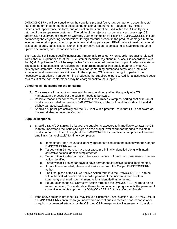DMN/CONCERNs will be issued when the supplier's product (bulk, raw, component, assembly, etc) has been determined to not meet design/print/functional requirements. Reason may include dimensional, appearance, fit, form, and/or function that cannot be used within the CS facility or is returned from an upstream customer. The origin of the reject can occur at any process step (CS facility, CS's customer, or dealership warranty). Other examples for issuing a DMN/CONCERN include not meeting the engineering specifications, foreign material present in the product, damaged material, incorrect material shipped, short shipments, mislabeling, packaging, PPAP, failure to maintain annual validation records, safety issues, launch, late corrective action responses, missing/expired required upload documents, non-responsiveness, etc.

Each CS plant will issue specific instructions if material is rejected. When supplier product is rejected from either a CS plant or one of the CS customer locations, rejections must occur in accordance with the SQM. Suppliers to CS will be responsible for costs incurred due to the supply of defective material. The supplier is responsible for replacing non-conforming material in a timely manner to meet CS delivery requirements. In the event CS detects non-conforming purchased items, and production scheduling and inventories prohibit return to the supplier, CS reserves the right to perform the necessary separation of non-conforming product at the Suppliers expense. Additional associated costs as a result of the non-conformance may be charged back to the supplier.

## **Concerns will be issued for the following**

- 1. Concerns are for any minor issue which does not directly affect the quality of a CS manufacturing process but the supplier needs to be aware.
- 2. Possible reasons for concerns could include these limited examples; sorting cost or return of product not included on previous DMN/CONCERNs, a label not on all four sides of the skid, slightly damaged packaging.
- 3. Should a supplier pro-actively call the CS Plant with a potential issue that CS is not aware of, this would also be coded as Concern.

#### **Supplier Response**

- 1. Should a DMN/CONCERN be issued, the supplier is expected to immediately contact the CS Plant to understand the issue and agree on the proper level of support needed to maintain production at CS. Then, throughout the DMN/CONCERN corrective action process there are time limits (as applicable) for timely completion.
	- a. Immediately upon issuances identify appropriate containment actions with the Cooper DMN/CONCERN Author.
	- b. Target within 24 hours to have root cause preliminarily identified along with interim corrective actions identified/implemented.
	- c. Target within 7 calendar days to have root cause confirmed with permanent corrective action identified.
	- d. Target within 14 calendar days to have permanent corrective actions implemented.
	- e. If more time is needed, please address/confirm with the Cooper DMN/CONCERN author.
	- f. The first upload of the CS Corrective Action form into the DMN/CONCERN is to be within the first 24 hours and acknowledgement of the incident (clear problem statement) and interim containment actions identified/implemented.
	- g. Future uploads the CS Corrective Action form into the DMN/CONCERN are to be no more than every 7 calendar days thereafter to document progress until the permanent corrective action is approved by DMN/CONCERN Author at Cooper Standard.
- 2. If the above timing is not meet, CS may issue a Customer Dissatisfaction DMN/CONCERN. If a DMN/CONCERN continues to go unanswered or continues to receive poor response after on-going documented attempts by the CS, then CS Management will intervene and develop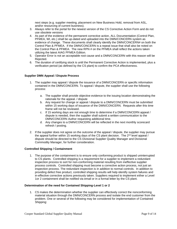next steps (e.g. supplier meeting, placement on New Business Hold, removal from ASL, and/or resourcing of current business).

- 3. Always refer to the portal for the newest version of the CS Corrective Action Form and do not use obsolete versions
- 4. As part of the evidence of the permanent corrective action, ALL Documentation (Control Plan, PFMEA, WI, etc.) shall be up-dated and uploaded into the DMN/CONCERN system as evidence of change. These documents shall clearly identify the DMN/CONCERN# on both the Control Plan & PFMEA. If the DMN/CONCERN is a repeat issue that shall also be noted on the Control Plan & PFMEA. The new RPN # on the PFMEA shall reflect the actions taken utilizing the latest AIAG PFMEA Edition.
- 5. Operator Error is not an acceptable root cause and a DMN/CONCERN with this reason will be Rejected.
- 6. The duration of certifying stock is until the Permanent Corrective Action is implemented, plus a verification period (as defined by the CS plant) to confirm the PCA effectiveness.

#### **Supplier DMN Appeal / Dispute Process**

- 1. The supplier may appeal / dispute the issuance of a DMN/CONCERN or specific information contained in the DMN/CONCERN. To appeal / dispute, the supplier shall use the following process:
	- a. The supplier shall provide objective evidence to the issuing location demonstrating the rationale for the appeal. / dispute
	- b. Any request for change or appeal / dispute to a DMN/CONCERN must be submitted within 15 working days of issuance of the DMN/CONCERN. Requests after this time frame will not be reviewed.
	- c. If 15 working days are not enough time to determine if a DMN/CONCERN appeal / dispute is needed, then the supplier shall submit a written communication to the DMN/CONCERN Author requesting additional time.
	- d. Any changes to a DMN/CONCERN will be reflected in the next monthly scorecard refresh / posting.
- 2. If the supplier does not agree on the outcome of the appeal / dispute, the supplier may pursue the appeal further within 15 working days of the CS plant decision. The 2<sup>nd</sup> level appeal / dispute should be directed to the CS Divisional Supplier Quality Manager and Divisional Commodity Manager, for further consideration.

#### **Controlled Shipping / Containment**

1. The purpose of the containment is to ensure only conforming product is shipped uninterrupted to CS plants. Controlled shipping is a requirement for a supplier to implement a redundant inspection process to sort for non-conforming material resulting from ineffective supplier process controls. Controlled shipping must become a corrective action process, not just an inspection process. The redundant inspection is in addition to normal controls. In addition to providing defect free product, controlled shipping results will help identify system failures and in-effective corrective actions previously taken. Suppliers required to implement either a Level 1or 2 containment shall be notified via email or in a formal letter by the CS plant.

#### **Determination of the need for Contained Shipping-Level 1 or 2**

1. CS makes the determination whether the supplier can effectively correct the nonconforming material situation through the DMN/CONCERN process and isolate the end customer from the problem. One or several of the following may be considered for implementation of Contained Shipping: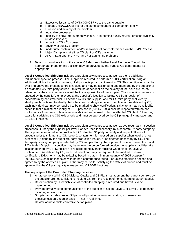- a. Excessive issuance of DMN/CONCERNs to the same supplier
- b. Repeat DMN/CONCERNs for the same component or component family
- c. Duration and severity of the problem
- d. Incapable processes
- e. Inability to show Improvement within IQR (in-coming quality review) process (typically 60 days invoked)
- f. Impact on CS's Customer
- g. Severity of quality problem
- h. Inadequate containment and/or resolution of nonconformance via the DMN Process.
- i. Major Disruptions at either CS plant or CS's customer
- j. APQP, Safe Launch, PPAP and / or Launching problems
- 2. Based on consideration of the above, CS decides whether Level 1 or Level 2 would be appropriate. Input for this decision may be provided by the various CS departments as appropriate.

**Level 1 Controlled Shipping** includes a problem solving process as well as a one additional redundant inspection process. The supplier is required to perform a 100% certification using an additional off line inspection process, of all products prior to shipment to CS. This certification shall be over and above the present controls in place and may be assigned to and managed by the supplier or a designated CS third party source – this will be dependent on the severity of the issue (i.e. safety related etc.). the cost in either case will be the responsibility of the supplier. The inspection process is enacted by the supplier's employees at the supplier's location to isolate CS from receipt of nonconforming parts/material. As defined by CS, the supplier and /or CS third party shall clearly identify each container to identify that it has been undergone Level 1 certification. As defined by CS, each individual part may be required to be marked to show certification. Exit criteria may be reliability based in that a minimum quantity of 1379 pcs/part # (.995R/.999C) shall be inspected with no nonconformance found – or unless otherwise defined and agreed to by the affected CS plant. Either may cause for satisfying the CS1 exit criteria and must be approved be the CS plant quality manager and CS SDE functions.

**Level 2 Controlled Shipping** includes a problem solving process as well as two redundant inspection processes. First by the supplier per level 1 above, then if necessary, by a separate  $3<sup>rd</sup>$  party company. The supplier is required to contract with a CS directed  $3<sup>rd</sup>$  party to certify and inspect off line all products prior to shipment to CS. Level 2 containment is imposed on a supplier when level 1 is not successful (if done by the supplier), early production issues, or as deemed necessary by CS. The third-party sorting company is selected by CS and paid for by the supplier. In special cases, the Level 2 Controlled Shipping inspection may be required to be performed outside the supplier's facilities at a location defined by CS. Suppliers are required to notify their registrar when place on Level 2 containment. As defined by CS, each individual part may be required to be marked to show certification. Exit criteria may be reliability based in that a minimum quantity of 6905 pcs/part # (.995R/.999C) shall be inspected with no non-conformance found – or unless otherwise defined and agreed to by the affected CS plant. Either may cause for satisfying the CS2 exit criteria and must be approved be the CS plant quality manager and CS SDE functions.

#### **The key steps of the Controlled Shipping process**

- 1. An agreement within CS Divisional Quality and CS Plant management that current controls by the supplier are not sufficient to insulate CS from the receipt of nonconforming parts/material.
- 2. Determination by CS which level of controlled shipping is required and how it is to be implemented.
- 3. Provide formal written communication to the supplier of action (Level 1 or Level 2) to be taken including an exit criteria.
- 4. Supplier and/or designated 3<sup>rd</sup> party will provide containment status, sort results and effectiveness on a regular basis – if not in real time.
- 5. Review of irreversible corrective action plans.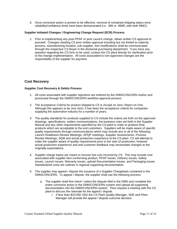6. Once corrective action is proven to be effective, removal of contained shipping status once reliability/confidence limits have been demonstrated (i.e. .995 or .999R, with both 999C).

#### **Supplier Initiated Changes / Engineering Change Request (ECR) Process**

1. Prior to implementing any post PPAP or post Launch change, obtain written CS approval to proceed. Changes needing CS prior written approval including but not limited to material, process, manufacturing location, sub-supplier, tool modifications shall be communicated through the respective CS Buyer in the divisional purchasing department. If you have any question regarding the CS form to be used, contact the CS plant directly for clarification prior to the change implementation. All costs associated to non-approved changes are the responsibility of the supplier for payment.

## **Cost Recovery**

## **Supplier Cost Recovery & Debits Process**

- 1. All costs associated with supplier rejections are entered by the DMN/CONCERN Author and processed through the DMN/CONCERN workflow approval process.
- 2. The Acceptance Criteria for product shipped to CS is Accept on Zero, Reject on One. Although this appears to be very strict, it has been the acceptance criteria for companies supplying the automotive industry for a number of years.
- 3. The quality standards for products supplied to CS include the criteria set forth on the approved drawings, specifications, written communications, the business rules set forth in the Supplier Manual and any other requirements specified by the CS plant in order to produce final products which are acceptable to the end customers. Suppliers will be made aware of specific quality requirements through communications which may include any or all of the following; Launch Readiness Review Meetings, APQP meetings, Supplier Assessments, Process Review Meetings, SQM and actual production experience at the CS plant. CS will attempt to make the supplier aware of quality requirements prior to the start of production, however actual production experience and end customer feedback may necessitate changes to the originally expectations.
- 4. Supplier charge backs are meant to recover lost cost incurred by CS. This may include cost associated with supplier Non-conforming product, PPAP issues, Delivery issues, Safety issues, Launch issues, Warranty issues, upload Documentation issues, and Packaging issues. Standardized costs are outlines in regional supporting documentation.
- 5. The supplier may appeal / dispute the issuance of a Supplier Chargeback contained in the DMN/CONCERN. To appeal / dispute, the supplier shall use the following process:
	- a. The supplier shall first check / select the dispute field in the DMN and complete the entire corrective action in the DMN/CONCERN system and upload all supporting documentation into the DMN/CONCERN system. Then request a meeting with the CS plant to discuss the rationale for the appeal / dispute.
		- i. If less than \$10,000 USD the CS Plant Quality Manager, SDE and Plant Manager will provide the appeal / dispute outcome decision.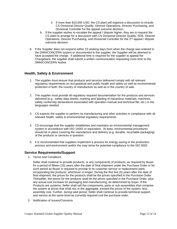- ii. If more than \$10,000 USD, the CS plant will organize a discussion to include CS Divisional Director Quality, Director Operations, Director Purchasing, and Divisional Controller for the appeal outcome decision.
- b. If the supplier wishes to escalate the appeal / dispute higher, they are to request the CS plant to arrange for a discussion with CS Divisional Director Quality, SDE, Director Operations, Director Purchasing, and Divisional Controller for the  $2<sup>nd</sup>$  appeal / dispute outcome decision.
- 6. If the Supplier does not respond within 15 working days from when the charge was entered in the DMN/CONCERN system or documented to the supplier, the Supplier will be deemed to have accepted the charge. If additional time is required for the supplier to appeal the Chargeback, the supplier shall submit a written communication requesting more time to the DMN/CONCERN Author.

# **Health, Safety & Environment**

- 1. The supplier must ensure that products and services delivered comply with all relevant regulatory requirements on occupational and public health and safety as well as environmental protection in both: the country of manufacture as well as in the country of sale.
- 2. The supplier must provide all regulatory required documentation for the products and services delivered (e.g.: safety data sheets; marking and labeling of hazardous materials; machines safety conformity declarations associated with operation manual and technical file; etc.) in the languages needed.
- 3. CS expects the supplier to perform its manufacturing and other activities in compliance with all relevant health, safety & environmental regulatory requirements.
- 4. CS encourage that the supplier establishes and maintains an environmental management system in accordance with ISO 14001 or equivalent. At least, environmental procedures should be in place covering the manufacture and delivery (e.g. durable, recyclable packaging) of the products or services in question.
- 5. It is recommended that suppliers implement a process for energy saving in the production process and environment and/or the may strive for potential compliance to the ISO 5002

## **Service Requirements/Support**

1- Terms and Conditions

Seller shall continue to provide products, or any components of products, as required by Buyer for a period of fifteen (15) years after the date of final shipment under the Purchase Order or for such period as Buyer is required to provide to its customer service or replacement parts incorporating the products, whichever is longer. During the first five (5) years after the date of final shipment, the prices for the products shall be the prices specified in the Purchase Order. Thereafter, the prices for the products shall be the prices specified in the Purchase Order, plus any actual cost increase for packaging and manufacturing, ds determined by buyer. If the Products are systems, Seller shall sell the components, parts or sub-assemblies that comprise the system at prices that shall not, in the aggregate, exceed the prices of the system, less assembly cost. Further, during said period, Seller shall continue to provide technical support and service at the same level as currently required und the purchase order.

2- Notification of Issues/Concerns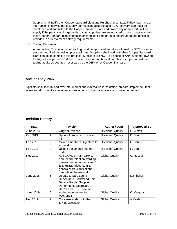Supplier shall notify their Cooper standard plant and Purchasing contacts if they may have an interruption in service parts supply per the scheduled release(s). A recovery plan must be developed and submitted to the Cooper Standard plant and proactively addressed until the supply if the parts is no longer at risk. Note, suppliers are encouraged o work proactively with their Cooper Standard plants contacts on long lead-time parts to ensure adequate notice is provided in order to meet delivery requirements.

3- Tooling Disposition

At end of life, Customer owned tooling must be approved and dispositioned by OEM customer per their required disposition process/forms. Suppliers shall work with their Cooper Standard plant contact to complete this process. Suppliers are NOT to dispose of ANY customer owned tooling without proper OEM and Cooper Standard authorization. This is subject to customer tooling audits as deemed necessary be the OEM or by Cooper Standard.

# **Contingency Plan**

Suppliers shall identify and evaluate internal and external risks, to define, prepare, implement, test, review and document a contingency plan according the risk analysis and customer impact.

## **Revision History**

| Date      | <b>Revision</b> |                                                                                                                                                                             | <b>Author / Dept</b>      | <b>Approved By</b> |
|-----------|-----------------|-----------------------------------------------------------------------------------------------------------------------------------------------------------------------------|---------------------------|--------------------|
| June 2013 | 0               | <b>Original Release</b>                                                                                                                                                     | <b>Divisional Quality</b> | G. Alstott         |
| Oct 2013  |                 | <b>Update Introduction: Scope</b><br>#2                                                                                                                                     | Divisional Quality        | P. Barr            |
| Feb 2015  | $\overline{2}$  | Moved Supplier's Signature to<br>Appendix                                                                                                                                   | <b>Divisional Quality</b> | P. Barr            |
| Feb 2015  | 3               | Upload documents into the<br>portal                                                                                                                                         | <b>Divisional Quality</b> | P. Barr            |
| Nov 2017  | $\overline{4}$  | Add CAMDS, IATF-16949,<br>and record retention wording,<br>general section added item 7<br>& 8, HS&E added item 5,<br>general word clarifications<br>throughout the manual. | <b>Global Quality</b>     | C. Russell         |
| June 2018 | 5               | Update to Safe Launch,<br>Run@ Rate, Controlled Ship,<br>Service Req'ts, Supplier<br>Performance Scorecard<br>Req'ts and HS&E section.                                      | <b>Global Quality</b>     | D.Mihelick         |
| June 2019 | 6               | Added requirement for<br><b>MAQMSR</b>                                                                                                                                      | <b>Global Quality</b>     | C. Kargula         |
| Nov 2019  | 7               | Concerns added into the<br><b>SPRS</b> calculation                                                                                                                          | <b>Global Quality</b>     | A.Kaefer           |